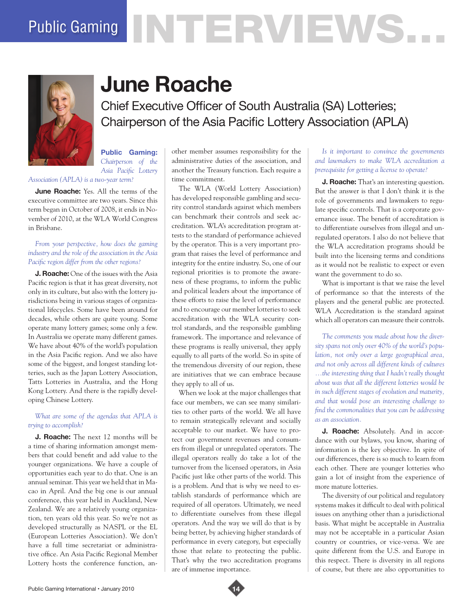# Public Gaming NTERVE VIS.



# **June Roache**

Chief Executive Officer of South Australia (SA) Lotteries; Chairperson of the Asia Pacific Lottery Association (APLA)

**Public Gaming:**  *Chairperson of the Asia Pacific Lottery* 

*Association (APLA) is a two-year term?* 

**June Roache:** Yes. All the terms of the executive committee are two years. Since this term began in October of 2008, it ends in November of 2010, at the WLA World Congress in Brisbane.

#### *From your perspective, how does the gaming industry and the role of the association in the Asia Pacific region differ from the other regions?*

**J. Roache:** One of the issues with the Asia Pacific region is that it has great diversity, not only in its culture, but also with the lottery jurisdictions being in various stages of organizational lifecycles. Some have been around for decades, while others are quite young. Some operate many lottery games; some only a few. In Australia we operate many different games. We have about 40% of the world's population in the Asia Pacific region. And we also have some of the biggest, and longest standing lotteries, such as the Japan Lottery Association, Tatts Lotteries in Australia, and the Hong Kong Lottery. And there is the rapidly developing Chinese Lottery.

# *What are some of the agendas that APLA is trying to accomplish?*

**J. Roache:** The next 12 months will be a time of sharing information amongst members that could benefit and add value to the younger organizations. We have a couple of opportunities each year to do that. One is an annual seminar. This year we held that in Macao in April. And the big one is our annual conference, this year held in Auckland, New Zealand. We are a relatively young organization, ten years old this year. So we're not as developed structurally as NASPL or the EL (European Lotteries Association). We don't have a full time secretariat or administrative office. An Asia Pacific Regional Member Lottery hosts the conference function, another member assumes responsibility for the administrative duties of the association, and another the Treasury function. Each require a time commitment.

The WLA (World Lottery Association) has developed responsible gambling and security control standards against which members can benchmark their controls and seek accreditation. WLA's accreditation program attests to the standard of performance achieved by the operator. This is a very important program that raises the level of performance and integrity for the entire industry. So, one of our regional priorities is to promote the awareness of these programs, to inform the public and political leaders about the importance of these efforts to raise the level of performance and to encourage our member lotteries to seek accreditation with the WLA security control standards, and the responsible gambling framework. The importance and relevance of these programs is really universal, they apply equally to all parts of the world. So in spite of the tremendous diversity of our region, these are initiatives that we can embrace because they apply to all of us.

When we look at the major challenges that face our members, we can see many similarities to other parts of the world. We all have to remain strategically relevant and socially acceptable to our market. We have to protect our government revenues and consumers from illegal or unregulated operators. The illegal operators really do take a lot of the turnover from the licensed operators, in Asia Pacific just like other parts of the world. This is a problem. And that is why we need to establish standards of performance which are required of all operators. Ultimately, we need to differentiate ourselves from these illegal operators. And the way we will do that is by being better, by achieving higher standards of performance in every category, but especially those that relate to protecting the public. That's why the two accreditation programs are of immense importance.

# *Is it important to convince the governments and lawmakers to make WLA accreditation a prerequisite for getting a license to operate?*

**J. Roache:** That's an interesting question. But the answer is that I don't think it is the role of governments and lawmakers to regulate specific controls. That is a corporate governance issue. The benefit of accreditation is to differentiate ourselves from illegal and unregulated operators. I also do not believe that the WLA accreditation programs should be built into the licensing terms and conditions as it would not be realistic to expect or even want the government to do so.

What is important is that we raise the level of performance so that the interests of the players and the general public are protected. WLA Accreditation is the standard against which all operators can measure their controls.

*The comments you made about how the diversity spans not only over 40% of the world's population, not only over a large geographical area, and not only across all different kinds of cultures …the interesting thing that I hadn't really thought about was that all the different lotteries would be in such different stages of evolution and maturity, and that would pose an interesting challenge to find the commonalities that you can be addressing as an association.*

**J. Roache:** Absolutely. And in accordance with our bylaws, you know, sharing of information is the key objective. In spite of our differences, there is so much to learn from each other. There are younger lotteries who gain a lot of insight from the experience of more mature lotteries.

The diversity of our political and regulatory systems makes it difficult to deal with political issues on anything other than a jurisdictional basis. What might be acceptable in Australia may not be acceptable in a particular Asian country or countries, or vice-versa. We are quite different from the U.S. and Europe in this respect. There is diversity in all regions of course, but there are also opportunities to

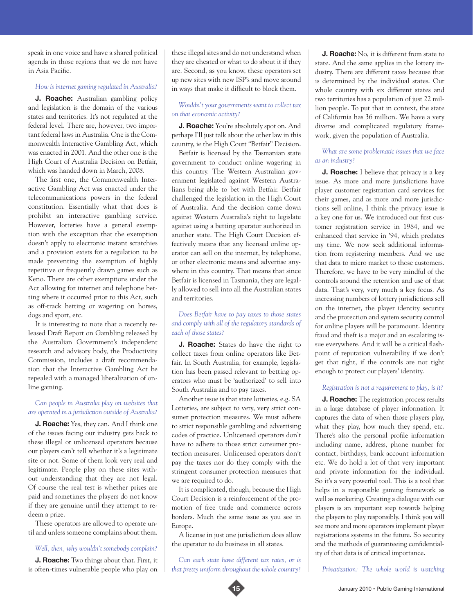speak in one voice and have a shared political agenda in those regions that we do not have in Asia Pacific.

#### *How is internet gaming regulated in Australia?*

**J. Roache:** Australian gambling policy and legislation is the domain of the various states and territories. It's not regulated at the federal level. There are, however, two important federal laws in Australia. One is the Commonwealth Interactive Gambling Act, which was enacted in 2001. And the other one is the High Court of Australia Decision on Betfair, which was handed down in March, 2008.

The first one, the Commonwealth Interactive Gambling Act was enacted under the telecommunications powers in the federal constitution. Essentially what that does is prohibit an interactive gambling service. However, lotteries have a general exemption with the exception that the exemption doesn't apply to electronic instant scratchies and a provision exists for a regulation to be made preventing the exemption of highly repetitive or frequently drawn games such as Keno. There are other exemptions under the Act allowing for internet and telephone betting where it occurred prior to this Act, such as off-track betting or wagering on horses, dogs and sport, etc.

It is interesting to note that a recently released Draft Report on Gambling released by the Australian Government's independent research and advisory body, the Productivity Commission, includes a draft recommendation that the Interactive Gambling Act be repealed with a managed liberalization of online gaming.

#### *Can people in Australia play on websites that are operated in a jurisdiction outside of Australia?*

**J. Roache:** Yes, they can. And I think one of the issues facing our industry gets back to these illegal or unlicensed operators because our players can't tell whether it's a legitimate site or not. Some of them look very real and legitimate. People play on these sites without understanding that they are not legal. Of course the real test is whether prizes are paid and sometimes the players do not know if they are genuine until they attempt to redeem a prize.

These operators are allowed to operate until and unless someone complains about them.

*Well, then, why wouldn't somebody complain?*

**J. Roache:** Two things about that. First, it is often-times vulnerable people who play on these illegal sites and do not understand when they are cheated or what to do about it if they are. Second, as you know, these operators set up new sites with new ISP's and move around in ways that make it difficult to block them.

#### *Wouldn't your governments want to collect tax on that economic activity?*

**J. Roache:** You're absolutely spot on. And perhaps I'll just talk about the other law in this country, ie the High Court "Betfair" Decision.

Betfair is licensed by the Tasmanian state government to conduct online wagering in this country. The Western Australian government legislated against Western Australians being able to bet with Betfair. Betfair challenged the legislation in the High Court of Australia. And the decision came down against Western Australia's right to legislate against using a betting operator authorized in another state. The High Court Decision effectively means that any licensed online operator can sell on the internet, by telephone, or other electronic means and advertise anywhere in this country. That means that since Betfair is licensed in Tasmania, they are legally allowed to sell into all the Australian states and territories.

*Does Betfair have to pay taxes to those states and comply with all of the regulatory standards of each of those states?*

**J. Roache:** States do have the right to collect taxes from online operators like Betfair. In South Australia, for example, legislation has been passed relevant to betting operators who must be 'authorized' to sell into South Australia and to pay taxes.

Another issue is that state lotteries, e.g. SA Lotteries, are subject to very, very strict consumer protection measures. We must adhere to strict responsible gambling and advertising codes of practice. Unlicensed operators don't have to adhere to those strict consumer protection measures. Unlicensed operators don't pay the taxes nor do they comply with the stringent consumer protection measures that we are required to do.

It is complicated, though, because the High Court Decision is a reinforcement of the promotion of free trade and commerce across borders. Much the same issue as you see in Europe.

A license in just one jurisdiction does allow the operator to do business in all states.

*Can each state have different tax rates, or is that pretty uniform throughout the whole country?*

**J. Roache:** No, it is different from state to state. And the same applies in the lottery industry. There are different taxes because that is determined by the individual states. Our whole country with six different states and two territories has a population of just 22 million people. To put that in context, the state of California has 36 million. We have a very diverse and complicated regulatory framework, given the population of Australia.

# *What are some problematic issues that we face as an industry?*

**J. Roache:** I believe that privacy is a key issue. As more and more jurisdictions have player customer registration card services for their games, and as more and more jurisdictions sell online, I think the privacy issue is a key one for us. We introduced our first customer registration service in 1984, and we enhanced that service in '94, which predates my time. We now seek additional information from registering members. And we use that data to micro market to those customers. Therefore, we have to be very mindful of the controls around the retention and use of that data. That's very, very much a key focus. As increasing numbers of lottery jurisdictions sell on the internet, the player identity security and the protection and system security control for online players will be paramount. Identity fraud and theft is a major and an escalating issue everywhere. And it will be a critical flashpoint of reputation vulnerability if we don't get that right, if the controls are not tight enough to protect our players' identity.

#### *Registration is not a requirement to play, is it?*

**J. Roache:** The registration process results in a large database of player information. It captures the data of when those players play, what they play, how much they spend, etc. There's also the personal profile information including name, address, phone number for contact, birthdays, bank account information etc. We do hold a lot of that very important and private information for the individual. So it's a very powerful tool. This is a tool that helps in a responsible gaming framework as well as marketing. Creating a dialogue with our players is an important step towards helping the players to play responsibly. I think you will see more and more operators implement player registrations systems in the future. So security and the methods of guaranteeing confidentiality of that data is of critical importance.

*Privatization: The whole world is watching*